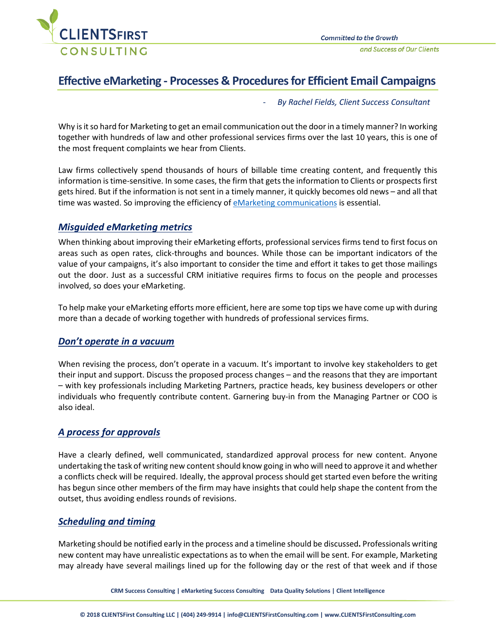

# **Effective eMarketing - Processes & Procedures for Efficient Email Campaigns**

- *By Rachel Fields, Client Success Consultant*

Why is it so hard for Marketing to get an email communication out the door in a timely manner? In working together with hundreds of law and other professional services firms over the last 10 years, this is one of the most frequent complaints we hear from Clients.

Law firms collectively spend thousands of hours of billable time creating content, and frequently this information is time-sensitive. In some cases, the firm that getsthe information to Clients or prospects first gets hired. But if the information is not sent in a timely manner, it quickly becomes old news – and all that time was wasted. So improving the efficiency of [eMarketing communications](https://clientsfirstconsulting.com/services/emarketing/reviewing-emarketing/) is essential.

### *Misguided eMarketing metrics*

When thinking about improving their eMarketing efforts, professional services firms tend to first focus on areas such as open rates, click-throughs and bounces. While those can be important indicators of the value of your campaigns, it's also important to consider the time and effort it takes to get those mailings out the door. Just as a successful CRM initiative requires firms to focus on the people and processes involved, so does your eMarketing.

To help make your eMarketing efforts more efficient, here are some top tips we have come up with during more than a decade of working together with hundreds of professional services firms.

#### *Don't operate in a vacuum*

When revising the process, don't operate in a vacuum. It's important to involve key stakeholders to get their input and support. Discuss the proposed process changes – and the reasons that they are important – with key professionals including Marketing Partners, practice heads, key business developers or other individuals who frequently contribute content. Garnering buy-in from the Managing Partner or COO is also ideal.

### *A process for approvals*

Have a clearly defined, well communicated, standardized approval process for new content. Anyone undertaking the task of writing new content should know going in who will need to approve it and whether a conflicts check will be required. Ideally, the approval process should get started even before the writing has begun since other members of the firm may have insights that could help shape the content from the outset, thus avoiding endless rounds of revisions.

### *Scheduling and timing*

Marketing should be notified early in the process and a timeline should be discussed**.** Professionals writing new content may have unrealistic expectations as to when the email will be sent. For example, Marketing may already have several mailings lined up for the following day or the rest of that week and if those

**CRM Success Consulting | eMarketing Success Consulting Data Quality Solutions | Client Intelligence**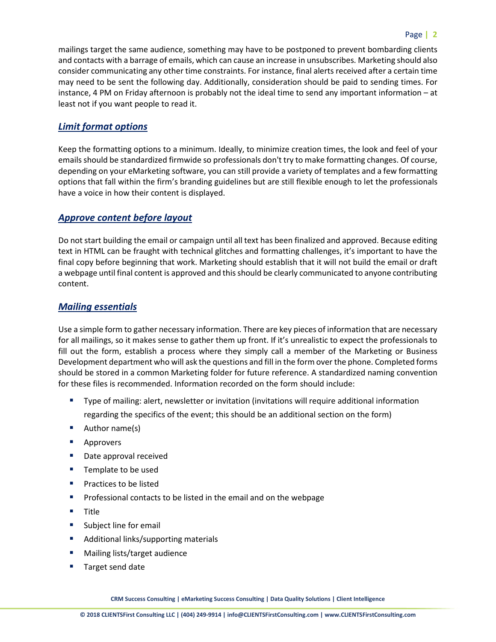mailings target the same audience, something may have to be postponed to prevent bombarding clients and contacts with a barrage of emails, which can cause an increase in unsubscribes. Marketing should also consider communicating any other time constraints. For instance, final alerts received after a certain time may need to be sent the following day. Additionally, consideration should be paid to sending times. For instance, 4 PM on Friday afternoon is probably not the ideal time to send any important information – at least not if you want people to read it.

## *Limit format options*

Keep the formatting options to a minimum. Ideally, to minimize creation times, the look and feel of your emails should be standardized firmwide so professionals don't try to make formatting changes. Of course, depending on your eMarketing software, you can still provide a variety of templates and a few formatting options that fall within the firm's branding guidelines but are still flexible enough to let the professionals have a voice in how their content is displayed.

### *Approve content before layout*

Do not start building the email or campaign until all text has been finalized and approved. Because editing text in HTML can be fraught with technical glitches and formatting challenges, it's important to have the final copy before beginning that work. Marketing should establish that it will not build the email or draft a webpage until final content is approved and this should be clearly communicated to anyone contributing content.

### *Mailing essentials*

Use a simple form to gather necessary information. There are key pieces of information that are necessary for all mailings, so it makes sense to gather them up front. If it's unrealistic to expect the professionals to fill out the form, establish a process where they simply call a member of the Marketing or Business Development department who will ask the questions and fill in the form over the phone. Completed forms should be stored in a common Marketing folder for future reference. A standardized naming convention for these files is recommended. Information recorded on the form should include:

- Type of mailing: alert, newsletter or invitation (invitations will require additional information regarding the specifics of the event; this should be an additional section on the form)
- Author name(s)
- **Approvers**
- Date approval received
- Template to be used
- Practices to be listed
- Professional contacts to be listed in the email and on the webpage
- Title
- Subject line for email
- Additional links/supporting materials
- Mailing lists/target audience
- Target send date

**CRM Success Consulting | eMarketing Success Consulting | Data Quality Solutions | Client Intelligence**